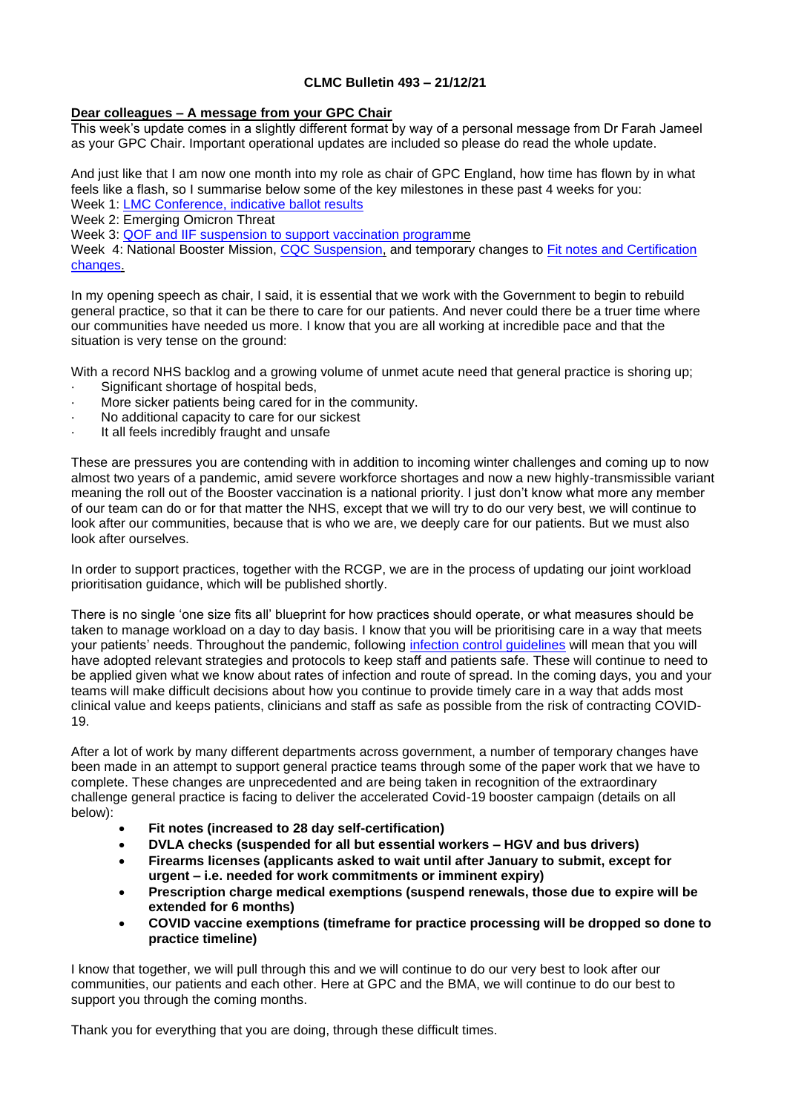# **CLMC Bulletin 493 – 21/12/21**

# **Dear colleagues – A message from your GPC Chair**

This week's update comes in a slightly different format by way of a personal message from Dr Farah Jameel as your GPC Chair. Important operational updates are included so please do read the whole update.

And just like that I am now one month into my role as chair of GPC England, how time has flown by in what feels like a flash, so I summarise below some of the key milestones in these past 4 weeks for you: Week 1: [LMC Conference, indicative ballot results](https://www.bma.org.uk/bma-media-centre/let-s-build-general-practice-back-better-dr-farah-jameel-delivers-inaugural-speech-as-chair-of-bma-s-england-gp-committee)

Week 2: Emerging Omicron Threat

Week 3: [QOF and IIF suspension to support vaccination programm](https://www.bma.org.uk/bma-media-centre/bma-hopes-gp-booster-plan-can-free-up-time-for-staff-to-prioritise-patients-most-in-need)e

Week 4: National Booster Mission, [CQC Suspension,](https://www.cqc.org.uk/news/stories/cqc-postpone-inspections-acute-hospitals-general-practice-until-new-year-support) and temporary changes to **Fit notes and Certification** [changes.](https://www.england.nhs.uk/coronavirus/primary-care/other-resources/primary-care-bulletin/primary-care-bulletins-december-2021/)

In my opening speech as chair, I said, it is essential that we work with the Government to begin to rebuild general practice, so that it can be there to care for our patients. And never could there be a truer time where our communities have needed us more. I know that you are all working at incredible pace and that the situation is very tense on the ground:

With a record NHS backlog and a growing volume of unmet acute need that general practice is shoring up;

- Significant shortage of hospital beds.
- More sicker patients being cared for in the community.
- · No additional capacity to care for our sickest
- It all feels incredibly fraught and unsafe

These are pressures you are contending with in addition to incoming winter challenges and coming up to now almost two years of a pandemic, amid severe workforce shortages and now a new highly-transmissible variant meaning the roll out of the Booster vaccination is a national priority. I just don't know what more any member of our team can do or for that matter the NHS, except that we will try to do our very best, we will continue to look after our communities, because that is who we are, we deeply care for our patients. But we must also look after ourselves.

In order to support practices, together with the RCGP, we are in the process of updating our joint workload prioritisation guidance, which will be published shortly.

There is no single 'one size fits all' blueprint for how practices should operate, or what measures should be taken to manage workload on a day to day basis. I know that you will be prioritising care in a way that meets your patients' needs. Throughout the pandemic, following [infection control guidelines](https://www.england.nhs.uk/coronavirus/secondary-care/infection-control/) will mean that you will have adopted relevant strategies and protocols to keep staff and patients safe. These will continue to need to be applied given what we know about rates of infection and route of spread. In the coming days, you and your teams will make difficult decisions about how you continue to provide timely care in a way that adds most clinical value and keeps patients, clinicians and staff as safe as possible from the risk of contracting COVID-19.

After a lot of work by many different departments across government, a number of temporary changes have been made in an attempt to support general practice teams through some of the paper work that we have to complete. These changes are unprecedented and are being taken in recognition of the extraordinary challenge general practice is facing to deliver the accelerated Covid-19 booster campaign (details on all below):

- **Fit notes (increased to 28 day self-certification)**
- **DVLA checks (suspended for all but essential workers – HGV and bus drivers)**
- **Firearms licenses (applicants asked to wait until after January to submit, except for urgent – i.e. needed for work commitments or imminent expiry)**
- **Prescription charge medical exemptions (suspend renewals, those due to expire will be extended for 6 months)**
- **COVID vaccine exemptions (timeframe for practice processing will be dropped so done to practice timeline)**

I know that together, we will pull through this and we will continue to do our very best to look after our communities, our patients and each other. Here at GPC and the BMA, we will continue to do our best to support you through the coming months.

Thank you for everything that you are doing, through these difficult times.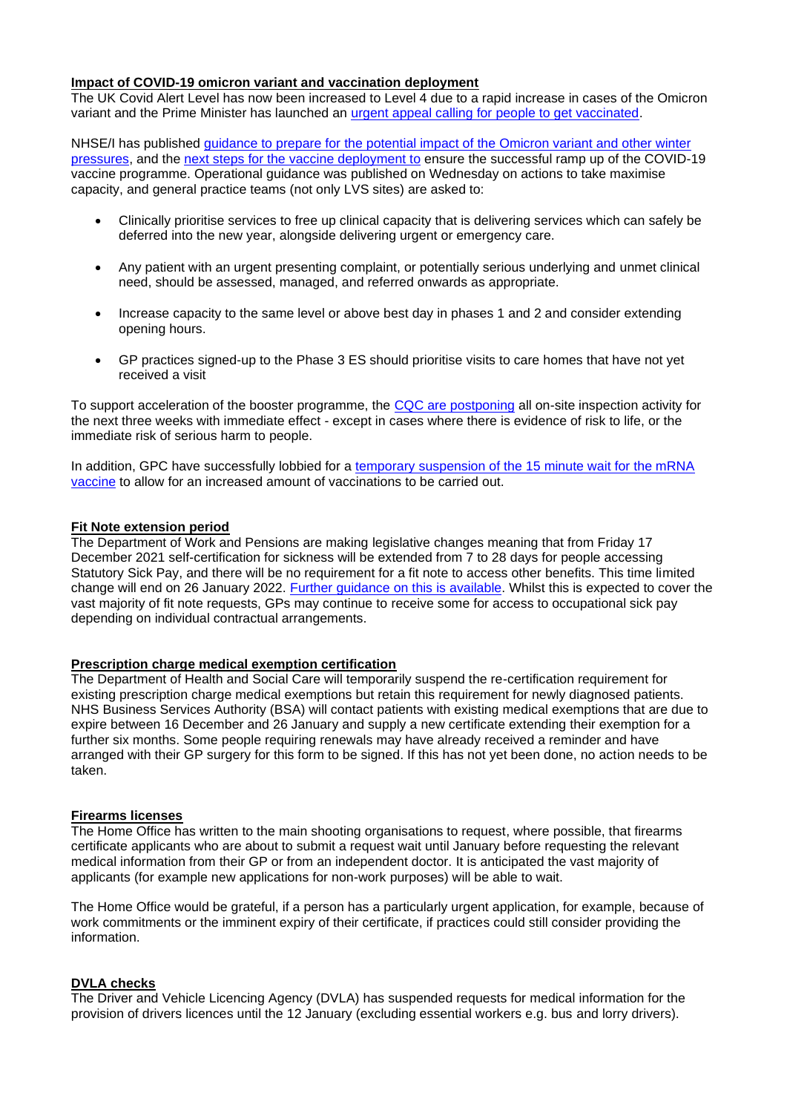### **Impact of COVID-19 omicron variant and vaccination deployment**

The UK Covid Alert Level has now been increased to Level 4 due to a rapid increase in cases of the Omicron variant and the Prime Minister has launched an urgent appeal [calling for people to get vaccinated.](https://www.gov.uk/government/news/urgent-omicron-appeal-get-boosted-now)

NHSE/I has published [guidance to prepare for the potential impact of the Omicron variant and other winter](https://www.england.nhs.uk/coronavirus/publication/preparing-the-nhs-for-the-potential-impact-of-the-omicron-variant-and-other-winter-pressures/)  [pressures,](https://www.england.nhs.uk/coronavirus/publication/preparing-the-nhs-for-the-potential-impact-of-the-omicron-variant-and-other-winter-pressures/) and the [next steps for the vaccine deployment to](https://security-eu.mimecast.com/ttpwp#/checking?key=bG1jLWxAbGlzdHNlcnYuYm1hLm9yZy51a3xyZXEtZWEyMmYwNjMyZTQ3MjlhZGIzZDBmNzY3NjE4OGU1Y2M%3D) ensure the successful ramp up of the COVID-19 vaccine programme. Operational guidance was published on Wednesday on actions to take maximise capacity, and general practice teams (not only LVS sites) are asked to:

- Clinically prioritise services to free up clinical capacity that is delivering services which can safely be deferred into the new year, alongside delivering urgent or emergency care.
- Any patient with an urgent presenting complaint, or potentially serious underlying and unmet clinical need, should be assessed, managed, and referred onwards as appropriate.
- Increase capacity to the same level or above best day in phases 1 and 2 and consider extending opening hours.
- GP practices signed-up to the Phase 3 ES should prioritise visits to care homes that have not yet received a visit

To support acceleration of the booster programme, the [CQC are postponing](https://www.cqc.org.uk/news/stories/cqc-postpone-inspections-acute-hospitals-general-practice-until-new-year-support) all on-site inspection activity for the next three weeks with immediate effect - except in cases where there is evidence of risk to life, or the immediate risk of serious harm to people.

In addition, GPC have successfully lobbied for a temporary suspension of the 15 minute wait for the mRNA [vaccine](https://www.gov.uk/government/publications/suspension-of-the-15-minute-wait-for-vaccination-with-mrna-vaccine-for-covid-19-uk-cmos-opinion/suspension-of-the-15-minute-wait-for-vaccination-with-mrna-vaccine-for-covid-19-uk-cmos-opinion) to allow for an increased amount of vaccinations to be carried out.

### **Fit Note extension period**

The Department of Work and Pensions are making legislative changes meaning that from Friday 17 December 2021 self-certification for sickness will be extended from 7 to 28 days for people accessing Statutory Sick Pay, and there will be no requirement for a fit note to access other benefits. This time limited change will end on 26 January 2022. [Further guidance on this](https://generalpracticebulletin.createsend1.com/t/d-l-adutrjy-l-z/) is available. Whilst this is expected to cover the vast majority of fit note requests, GPs may continue to receive some for access to occupational sick pay depending on individual contractual arrangements.

### **Prescription charge medical exemption certification**

The Department of Health and Social Care will temporarily suspend the re-certification requirement for existing prescription charge medical exemptions but retain this requirement for newly diagnosed patients. NHS Business Services Authority (BSA) will contact patients with existing medical exemptions that are due to expire between 16 December and 26 January and supply a new certificate extending their exemption for a further six months. Some people requiring renewals may have already received a reminder and have arranged with their GP surgery for this form to be signed. If this has not yet been done, no action needs to be taken.

#### **Firearms licenses**

The Home Office has written to the main shooting organisations to request, where possible, that firearms certificate applicants who are about to submit a request wait until January before requesting the relevant medical information from their GP or from an independent doctor. It is anticipated the vast majority of applicants (for example new applications for non-work purposes) will be able to wait.

The Home Office would be grateful, if a person has a particularly urgent application, for example, because of work commitments or the imminent expiry of their certificate, if practices could still consider providing the information.

### **DVLA checks**

The Driver and Vehicle Licencing Agency (DVLA) has suspended requests for medical information for the provision of drivers licences until the 12 January (excluding essential workers e.g. bus and lorry drivers).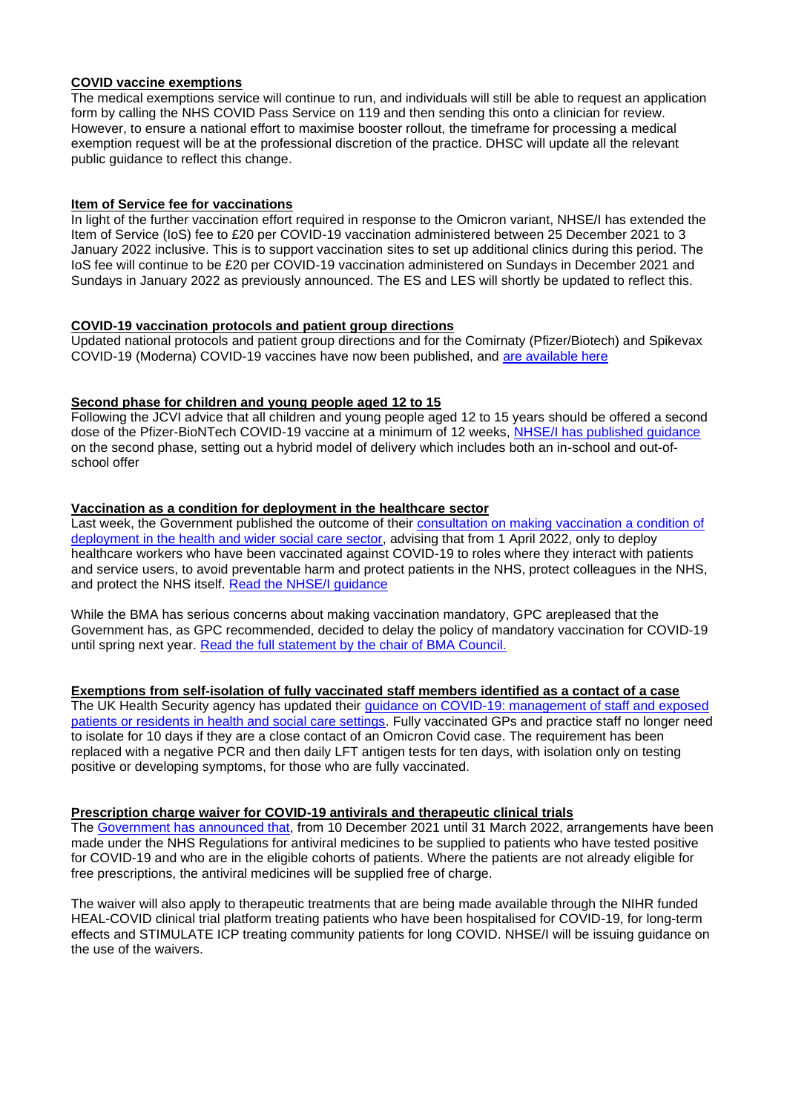# **COVID vaccine exemptions**

The medical exemptions service will continue to run, and individuals will still be able to request an application form by calling the NHS COVID Pass Service on 119 and then sending this onto a clinician for review. However, to ensure a national effort to maximise booster rollout, the timeframe for processing a medical exemption request will be at the professional discretion of the practice. DHSC will update all the relevant public guidance to reflect this change.

## **Item of Service fee for vaccinations**

In light of the further vaccination effort required in response to the Omicron variant, NHSE/I has extended the Item of Service (IoS) fee to £20 per COVID-19 vaccination administered between 25 December 2021 to 3 January 2022 inclusive. This is to support vaccination sites to set up additional clinics during this period. The IoS fee will continue to be £20 per COVID-19 vaccination administered on Sundays in December 2021 and Sundays in January 2022 as previously announced. The ES and LES will shortly be updated to reflect this.

### **COVID-19 vaccination protocols and patient group directions**

Updated national protocols and patient group directions and for the Comirnaty (Pfizer/Biotech) and Spikevax COVID-19 (Moderna) COVID-19 vaccines have now been published, and [are available here](https://www.gov.uk/government/collections/covid-19-vaccination-programme#protocols-and-patient-group-directions-(pgds))

## **Second phase for children and young people aged 12 to 15**

Following the JCVI advice that all children and young people aged 12 to 15 years should be offered a second dose of the Pfizer-BioNTech COVID-19 vaccine at a minimum of 12 weeks, [NHSE/I has published guidance](https://www.england.nhs.uk/coronavirus/publication/second-phase-for-children-and-young-people-aged-12-to-15-next-steps-for-covid-19-vaccine-deployment/) on the second phase, setting out a hybrid model of delivery which includes both an in-school and out-ofschool offer

### **Vaccination as a condition for deployment in the healthcare sector**

Last week, the Government published the outcome of their [consultation on making vaccination a condition of](https://www.gov.uk/government/consultations/making-vaccination-a-condition-of-deployment-in-the-health-and-wider-social-care-sector?utm_medium=email&utm_campaign=govuk-notifications&utm_source=ef7d072d-8c65-4e17-8569-5ce2a46f74ee&utm_content=daily)  [deployment in the health and wider social care sector,](https://www.gov.uk/government/consultations/making-vaccination-a-condition-of-deployment-in-the-health-and-wider-social-care-sector?utm_medium=email&utm_campaign=govuk-notifications&utm_source=ef7d072d-8c65-4e17-8569-5ce2a46f74ee&utm_content=daily) advising that from 1 April 2022, only to deploy healthcare workers who have been vaccinated against COVID-19 to roles where they interact with patients and service users, to avoid preventable harm and protect patients in the NHS, protect colleagues in the NHS, and protect the NHS itself. [Read the NHSE/I guidance](https://www.england.nhs.uk/coronavirus/publication/vaccination-as-a-condition-of-deployment-for-healthcare-workers-phase-1-planning-and-preparation/)

While the BMA has serious concerns about making vaccination mandatory, GPC arepleased that the Government has, as GPC recommended, decided to delay the policy of mandatory vaccination for COVID-19 until spring next year. [Read the full statement by the chair of BMA Council.](https://www.bma.org.uk/bma-media-centre/delay-in-making-covid-vaccine-mandatory-is-sensible-ahead-of-winter-pressures-says-bma)

# **Exemptions from self-isolation of fully vaccinated staff members identified as a contact of a case**

The UK Health Security agency has updated their [guidance on COVID-19: management of staff and exposed](https://www.gov.uk/government/publications/covid-19-management-of-exposed-healthcare-workers-and-patients-in-hospital-settings/covid-19-management-of-exposed-healthcare-workers-and-patients-in-hospital-settings)  [patients or residents in health and social care settings.](https://www.gov.uk/government/publications/covid-19-management-of-exposed-healthcare-workers-and-patients-in-hospital-settings/covid-19-management-of-exposed-healthcare-workers-and-patients-in-hospital-settings) Fully vaccinated GPs and practice staff no longer need to isolate for 10 days if they are a close contact of an Omicron Covid case. The requirement has been replaced with a negative PCR and then daily LFT antigen tests for ten days, with isolation only on testing positive or developing symptoms, for those who are fully vaccinated.

### **Prescription charge waiver for COVID-19 antivirals and therapeutic clinical trials**

The [Government has announced that,](https://www.gov.uk/government/news/prescription-charge-waiver-for-covid-19-antivirals-and-therapeutic-clinical-trials) from 10 December 2021 until 31 March 2022, arrangements have been made under the NHS Regulations for antiviral medicines to be supplied to patients who have tested positive for COVID-19 and who are in the eligible cohorts of patients. Where the patients are not already eligible for free prescriptions, the antiviral medicines will be supplied free of charge.

The waiver will also apply to therapeutic treatments that are being made available through the NIHR funded HEAL-COVID clinical trial platform treating patients who have been hospitalised for COVID-19, for long-term effects and STIMULATE ICP treating community patients for long COVID. NHSE/I will be issuing guidance on the use of the waivers.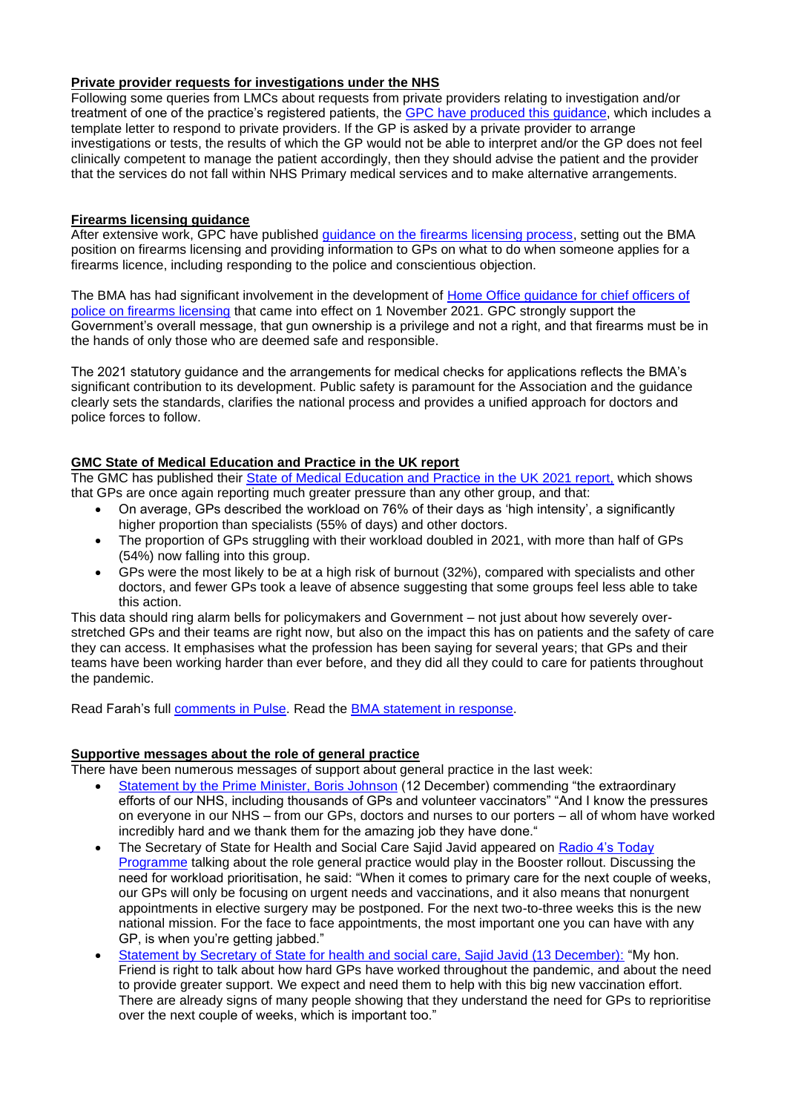# **Private provider requests for investigations under the NHS**

Following some queries from LMCs about requests from private providers relating to investigation and/or treatment of one of the practice's registered patients, the GPC [have produced this](https://www.clevelandlmc.org.uk/website/IGP367/files/Private%20Provider%20requests%20for%20investigations%20under%20the%20NHS%20-%20FINAL.pdf) guidance, which includes a template letter to respond to private providers. If the GP is asked by a private provider to arrange investigations or tests, the results of which the GP would not be able to interpret and/or the GP does not feel clinically competent to manage the patient accordingly, then they should advise the patient and the provider that the services do not fall within NHS Primary medical services and to make alternative arrangements.

### **Firearms licensing guidance**

After extensive work, GPC have published [guidance on the firearms licensing process,](https://www.bma.org.uk/advice-and-support/gp-practices/gp-service-provision/the-firearms-licensing-process) setting out the BMA position on firearms licensing and providing information to GPs on what to do when someone applies for a firearms licence, including responding to the police and conscientious objection.

The BMA has had significant involvement in the development of Home Office guidance for chief officers of [police on firearms licensing](https://www.gov.uk/guidance/firearms-licensing-police-guidance) that came into effect on 1 November 2021. GPC strongly support the Government's overall message, that gun ownership is a privilege and not a right, and that firearms must be in the hands of only those who are deemed safe and responsible.

The 2021 statutory guidance and the arrangements for medical checks for applications reflects the BMA's significant contribution to its development. Public safety is paramount for the Association and the quidance clearly sets the standards, clarifies the national process and provides a unified approach for doctors and police forces to follow.

### **GMC State of Medical Education and Practice in the UK report**

The GMC has published their [State of Medical Education and Practice in the UK 2021 report,](https://www.gmc-uk.org/about/what-we-do-and-why/data-and-research/the-state-of-medical-education-and-practice-in-the-uk) which shows that GPs are once again reporting much greater pressure than any other group, and that:

- On average, GPs described the workload on 76% of their days as 'high intensity', a significantly higher proportion than specialists (55% of days) and other doctors.
- The proportion of GPs struggling with their workload doubled in 2021, with more than half of GPs (54%) now falling into this group.
- GPs were the most likely to be at a high risk of burnout (32%), compared with specialists and other doctors, and fewer GPs took a leave of absence suggesting that some groups feel less able to take this action.

This data should ring alarm bells for policymakers and Government – not just about how severely overstretched GPs and their teams are right now, but also on the impact this has on patients and the safety of care they can access. It emphasises what the profession has been saying for several years; that GPs and their teams have been working harder than ever before, and they did all they could to care for patients throughout the pandemic.

Read Farah's full [comments in Pulse.](https://www.pulsetoday.co.uk/news/regulation/gps-most-likely-to-bear-the-brunt-of-burnout-warns-the-gmc/) Read the [BMA statement in response.](https://londonnewstime.com/one-third-of-gps-at-high-risk-of-burnout-because-gmc-reveals-the-effects-of-unsustainable-workloads/603766/)

# **Supportive messages about the role of general practice**

There have been numerous messages of support about general practice in the last week:

- [Statement by the Prime Minister, Boris Johnson](https://www.gov.uk/government/speeches/prime-ministers-address-to-the-nation-on-booster-jabs-12-december-2021) (12 December) commending "the extraordinary efforts of our NHS, including thousands of GPs and volunteer vaccinators" "And I know the pressures on everyone in our NHS – from our GPs, doctors and nurses to our porters – all of whom have worked incredibly hard and we thank them for the amazing job they have done."
- The Secretary of State for Health and Social Care Sajid Javid appeared on [Radio 4's Today](https://www.bbc.co.uk/sounds/play/m0012fhr)  [Programme](https://www.bbc.co.uk/sounds/play/m0012fhr) talking about the role general practice would play in the Booster rollout. Discussing the need for workload prioritisation, he said: "When it comes to primary care for the next couple of weeks, our GPs will only be focusing on urgent needs and vaccinations, and it also means that nonurgent appointments in elective surgery may be postponed. For the next two-to-three weeks this is the new national mission. For the face to face appointments, the most important one you can have with any GP, is when you're getting jabbed."
- [Statement by Secretary of State for health and social care, Sajid Javid \(13 December\):](https://hansard.parliament.uk/Commons/2021-12-13/debates/58B59E18-9B21-4E94-B296-A85E5C037964/Covid-19Update) "My hon. Friend is right to talk about how hard GPs have worked throughout the pandemic, and about the need to provide greater support. We expect and need them to help with this big new vaccination effort. There are already signs of many people showing that they understand the need for GPs to reprioritise over the next couple of weeks, which is important too."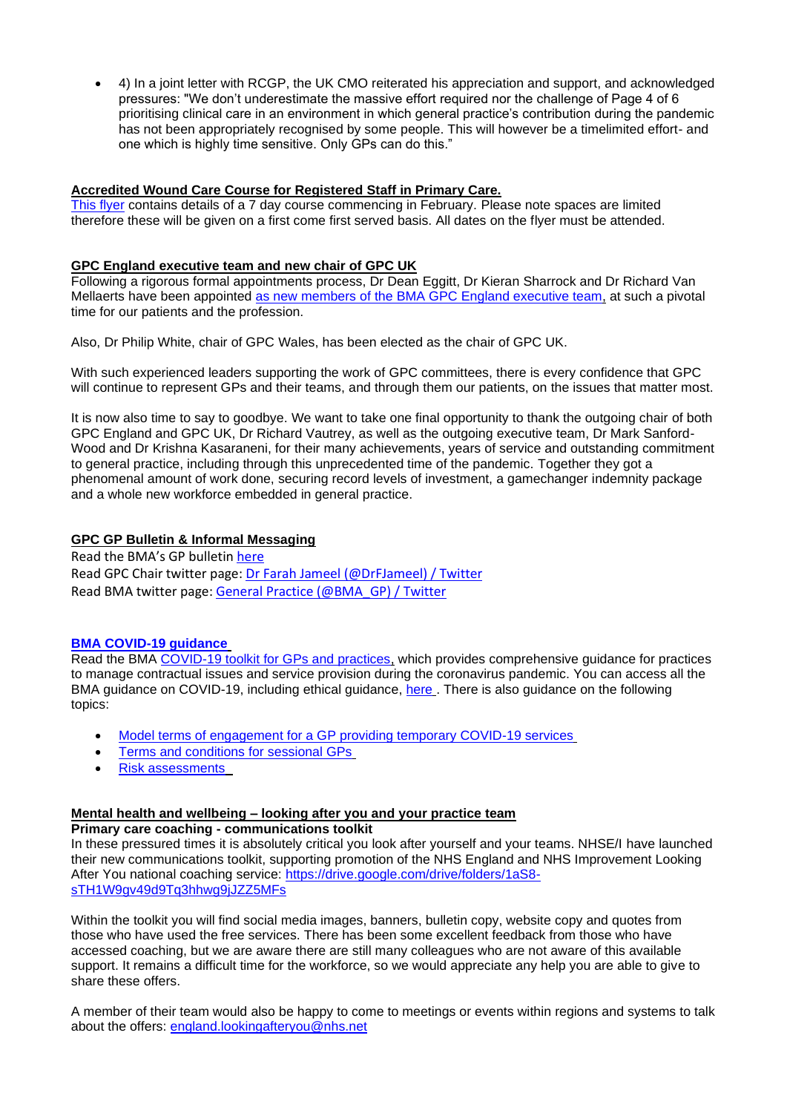• 4) In a joint letter with RCGP, the UK CMO reiterated his appreciation and support, and acknowledged pressures: "We don't underestimate the massive effort required nor the challenge of Page 4 of 6 prioritising clinical care in an environment in which general practice's contribution during the pandemic has not been appropriately recognised by some people. This will however be a timelimited effort- and one which is highly time sensitive. Only GPs can do this."

# **Accredited Wound Care Course for Registered Staff in Primary Care.**

[This flyer](https://www.clevelandlmc.org.uk/website/IGP367/files/Wound%20Care%20Course%20Flyer.pdf) contains details of a 7 day course commencing in February. Please note spaces are limited therefore these will be given on a first come first served basis. All dates on the flyer must be attended.

## **GPC England executive team and new chair of GPC UK**

Following a rigorous formal appointments process, Dr Dean Eggitt, Dr Kieran Sharrock and Dr Richard Van Mellaerts have been appointed [as new members of the BMA GPC England executive team,](https://www.bma.org.uk/bma-media-centre/bma-gpc-england-announces-new-executive-team) at such a pivotal time for our patients and the profession.

Also, Dr Philip White, chair of GPC Wales, has been elected as the chair of GPC UK.

With such experienced leaders supporting the work of GPC committees, there is every confidence that GPC will continue to represent GPs and their teams, and through them our patients, on the issues that matter most.

It is now also time to say to goodbye. We want to take one final opportunity to thank the outgoing chair of both GPC England and GPC UK, Dr Richard Vautrey, as well as the outgoing executive team, Dr Mark Sanford-Wood and Dr Krishna Kasaraneni, for their many achievements, years of service and outstanding commitment to general practice, including through this unprecedented time of the pandemic. Together they got a phenomenal amount of work done, securing record levels of investment, a gamechanger indemnity package and a whole new workforce embedded in general practice.

# **GPC GP Bulletin & Informal Messaging**

Read the BMA's GP bulletin [here](https://bma-mail.org.uk/t/JVX-7NYV2-6D0D8630D9CB840E1PJA0P99B60EC971FDA0ED/cr.aspx) Read GPC Chair twitter page: [Dr Farah Jameel \(@DrFJameel\) / Twitter](https://twitter.com/DrFJameel) Read BMA twitter page: [General Practice \(@BMA\\_GP\) / Twitter](https://twitter.com/BMA_GP)

# **[BMA COVID-19 guidance](https://www.bma.org.uk/advice-and-support/covid-19)**

Read the BMA [COVID-19 toolkit for GPs and practices,](https://www.bma.org.uk/advice-and-support/covid-19/practical-guidance/covid-19-toolkit-for-gps-and-gp-practices) which provides comprehensive guidance for practices to manage contractual issues and service provision during the coronavirus pandemic. You can access all the BMA guidance on COVID-19, including ethical guidance, [here](https://www.bma.org.uk/advice-and-support/covid-19) . There is also guidance on the following topics:

- [Model terms of engagement for a GP providing temporary COVID-19 services](https://www.bma.org.uk/advice-and-support/covid-19/your-contract/covid-19-model-terms-for-gps)
- [Terms and conditions for sessional GPs](https://www.bma.org.uk/advice-and-support/covid-19/your-contract/covid-19-your-terms-and-conditions/your-terms-and-conditions-sessional-gps)
- [Risk assessments](https://www.bma.org.uk/advice-and-support/covid-19/your-health/covid-19-risk-assessment)

# **Mental health and wellbeing – looking after you and your practice team**

**Primary care coaching - communications toolkit**

In these pressured times it is absolutely critical you look after yourself and your teams. NHSE/I have launched their new communications toolkit, supporting promotion of the NHS England and NHS Improvement Looking After You national coaching service: [https://drive.google.com/drive/folders/1aS8](https://drive.google.com/drive/folders/1aS8-sTH1W9gv49d9Tq3hhwg9jJZZ5MFs) [sTH1W9gv49d9Tq3hhwg9jJZZ5MFs](https://drive.google.com/drive/folders/1aS8-sTH1W9gv49d9Tq3hhwg9jJZZ5MFs)

Within the toolkit you will find social media images, banners, bulletin copy, website copy and quotes from those who have used the free services. There has been some excellent feedback from those who have accessed coaching, but we are aware there are still many colleagues who are not aware of this available support. It remains a difficult time for the workforce, so we would appreciate any help you are able to give to share these offers.

A member of their team would also be happy to come to meetings or events within regions and systems to talk about the offers: [england.lookingafteryou@nhs.net](mailto:england.lookingafteryou@nhs.net)